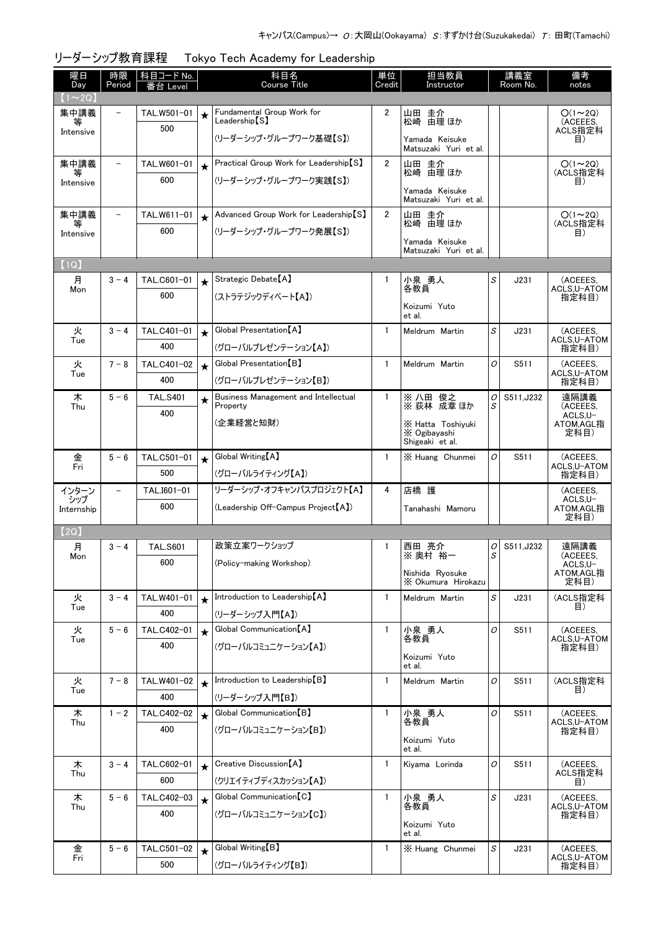| 曜日<br>Day     | 時限<br>Period             | 科目コード No.<br>番台 Level |             | 科目名<br><b>Course Title</b>                        | 単位<br>Credit   | 担当教員<br>Instructor                      |        | 講義室<br>Room No. | 備考<br>notes               |
|---------------|--------------------------|-----------------------|-------------|---------------------------------------------------|----------------|-----------------------------------------|--------|-----------------|---------------------------|
| $(1 \sim 2Q)$ |                          |                       |             |                                                   |                |                                         |        |                 |                           |
| 集中講義<br>等     | $\overline{\phantom{a}}$ | TAL.W501-01           | $\star$     | Fundamental Group Work for<br>$\sf Leadership[S]$ | $\overline{2}$ | 山田 圭介<br>松崎 由理 ほか                       |        |                 | $O(1\sim 2Q)$<br>(ACEEES. |
| Intensive     |                          | 500                   |             | (リーダーシップ・グループワーク基礎【S】)                            |                | Yamada Keisuke<br>Matsuzaki Yuri et al. |        |                 | ACLS指定科<br>目)             |
| 集中講義<br>等     | $\qquad \qquad -$        | TAL.W601-01           | $\bigstar$  | Practical Group Work for Leadership [S]           | $\overline{2}$ | 山田 圭介<br>松崎 由理 ほか                       |        |                 | $O(1\sim 2Q)$<br>(ACLS指定科 |
| Intensive     |                          | 600                   |             | (リーダーシップ・グループワーク実践【S】)                            |                | Yamada Keisuke<br>Matsuzaki Yuri et al. |        |                 | 目)                        |
| 集中講義          | $\overline{\phantom{0}}$ | TAL.W611-01           | $\star$     | Advanced Group Work for Leadership [S]            | $\overline{2}$ | 山田 圭介<br>松崎 由理 ほか                       |        |                 | $O(1\sim 2Q)$<br>(ACLS指定科 |
| Intensive     |                          | 600                   |             | (リーダーシップ・グループワーク発展【S】)                            |                | Yamada Keisuke                          |        |                 | 目)                        |
|               |                          |                       |             |                                                   |                | Matsuzaki Yuri et al.                   |        |                 |                           |
| (1Q)          |                          |                       |             |                                                   |                |                                         |        |                 |                           |
| 月<br>Mon      | $3 - 4$                  | TAL.C601-01           | $\star$     | Strategic Debate [A]                              | $\mathbf{1}$   | 小泉 勇人<br>各教員                            | S      | J231            | (ACEEES,<br>ACLS,U-ATOM   |
|               |                          | 600                   |             | (ストラテジックディベート【A】)                                 |                | Koizumi Yuto<br>et al.                  |        |                 | 指定科目)                     |
| 火             | $3 - 4$                  | TAL.C401-01           | $\star$     | Global Presentation <sup>[A]</sup>                | $\mathbf{1}$   | Meldrum Martin                          | S      | J231            | (ACEEES.                  |
| Tue           |                          | 400                   |             | (グローバルプレゼンテーション【A】)                               |                |                                         |        |                 | ACLS, U-ATOM<br>指定科目)     |
| 火             | $7 - 8$                  | TAL.C401-02           | $\star$     | Global Presentation [B]                           | $\mathbf{1}$   | Meldrum Martin                          | O      | S511            | (ACEEES,<br>ACLS,U-ATOM   |
| Tue           |                          | 400                   |             | (グローバルプレゼンテーション【B】)                               |                |                                         |        |                 | 指定科目)                     |
| 木<br>Thu      | $5 - 6$                  | <b>TAL.S401</b>       | $\star$     | Business Management and Intellectual<br>Property  | $\mathbf{1}$   | 俊之<br>※ 八田<br>※ 荻林 成章 ほか                | 0<br>S | S511, J232      | 遠隔講義<br>(ACEEES,          |
|               |                          | 400                   |             | (企業経営と知財)                                         |                | X Hatta Toshiyuki                       |        |                 | ACLS.U-<br>ATOM,AGL指      |
|               |                          |                       |             |                                                   |                | X Ogibayashi<br>Shigeaki et al.         |        |                 | 定科目)                      |
| 金             | $5 - 6$                  | TAL.C501-01           | $\star$     | Global Writing [A]                                | $\mathbf{1}$   | X Huang Chunmei                         | 0      | S511            | (ACEEES.                  |
| Fri           |                          | 500                   |             | (グローバルライティング【A】)                                  |                |                                         |        |                 | ACLS,U-ATOM<br>指定科目)      |
| インターン<br>シップ  |                          | TAL.I601-01           |             | リーダーシップ・オフキャンパスプロジェクト【A】                          | 4              | 店橋 護                                    |        |                 | (ACEEES,<br>ACLS, U-      |
| Internship    |                          | 600                   |             | (Leadership Off-Campus Project [A])               |                | Tanahashi Mamoru                        |        |                 | ATOM, AGL指<br>定科目)        |
| [2Q]          |                          |                       |             |                                                   |                |                                         |        |                 |                           |
| 月             | $3 - 4$                  | <b>TAL.S601</b>       |             | 政策立案ワークショップ                                       | $\mathbf{1}$   | 西田 亮介                                   | 0      | S511, J232      | 遠隔講義                      |
| Mon           |                          | 600                   |             | (Policy-making Workshop)                          |                | ※ 奥村 裕一                                 | S      |                 | (ACEEES,<br>ACLS,U-       |
|               |                          |                       |             |                                                   |                | Nishida Ryosuke<br>X Okumura Hirokazu   |        |                 | ATOM,AGL指<br>定科目)         |
| 火             | $3 - 4$                  | TAL.W401-01           | $\ddotmark$ | Introduction to Leadership [A]                    | $\mathbf{1}$   | Meldrum Martin                          | S      | J231            | (ACLS指定科<br>目)            |
| Tue           |                          | 400                   |             | (リーダーシップ入門【A】)                                    |                |                                         |        |                 |                           |
| 火<br>Tue      | $5 - 6$                  | TAL.C402-01           | $\star$     | Global Communication [A]                          | $\mathbf{1}$   | 小泉 勇人<br>各教員                            | O      | S511            | (ACEEES,<br>ACLS, U-ATOM  |
|               |                          | 400                   |             | (グローバルコミュニケーション【A】)                               |                | Koizumi Yuto                            |        |                 | 指定科目)                     |
|               |                          |                       |             |                                                   |                | et al.                                  |        |                 |                           |
| 火<br>Tue      | $7 - 8$                  | TAL.W401-02           | $\star$     | Introduction to Leadership [B]                    | $\mathbf{1}$   | Meldrum Martin                          | O      | S511            | (ACLS指定科<br>目)            |
|               |                          | 400                   |             | (リーダーシップ入門【B】)                                    |                |                                         |        |                 |                           |
| 木<br>Thu      | $1 - 2$                  | TAL.C402-02           | $\star$     | Global Communication [B]                          | $\mathbf{1}$   | 小泉 勇人<br>各教員                            | O      | S511            | (ACEEES,<br>ACLS,U-ATOM   |
|               |                          | 400                   |             | (グローバルコミュニケーション【B】)                               |                | Koizumi Yuto                            |        |                 | 指定科目)                     |
|               |                          |                       |             |                                                   |                | et al.                                  |        |                 |                           |
| 木<br>Thu      | $3 - 4$                  | TAL.C602-01           | $\star$     | Creative Discussion <sup>[A]</sup>                | $\mathbf{1}$   | Kiyama Lorinda                          | 0      | S511            | (ACEEES,<br>ACLS指定科       |
|               |                          | 600                   |             | (クリエイティブディスカッション【A】)                              |                |                                         |        |                 | 目)                        |
| 木<br>Thu      | $5 - 6$                  | TAL.C402-03           | $\star$     | Global Communication [C]                          | $\mathbf{1}$   | 小泉 勇人<br>各教員                            | S      | J231            | (ACEEES,<br>ACLS,U-ATOM   |
|               |                          | 400                   |             | (グローバルコミュニケーション【C】)                               |                | Koizumi Yuto                            |        |                 | 指定科目)                     |
|               |                          |                       |             | Global Writing [B]                                | $\mathbf{1}$   | et al.                                  |        |                 |                           |
| 金<br>Fri      | $5 - 6$                  | TAL.C501-02<br>500    | $\star$     |                                                   |                | X Huang Chunmei                         | S      | J231            | (ACEEES,<br>ACLS, U-ATOM  |
|               |                          |                       |             | (グローバルライティング【B】)                                  |                |                                         |        |                 | 指定科目)                     |

## リーダーシップ教育課程 Tokyo Tech Academy for Leadership